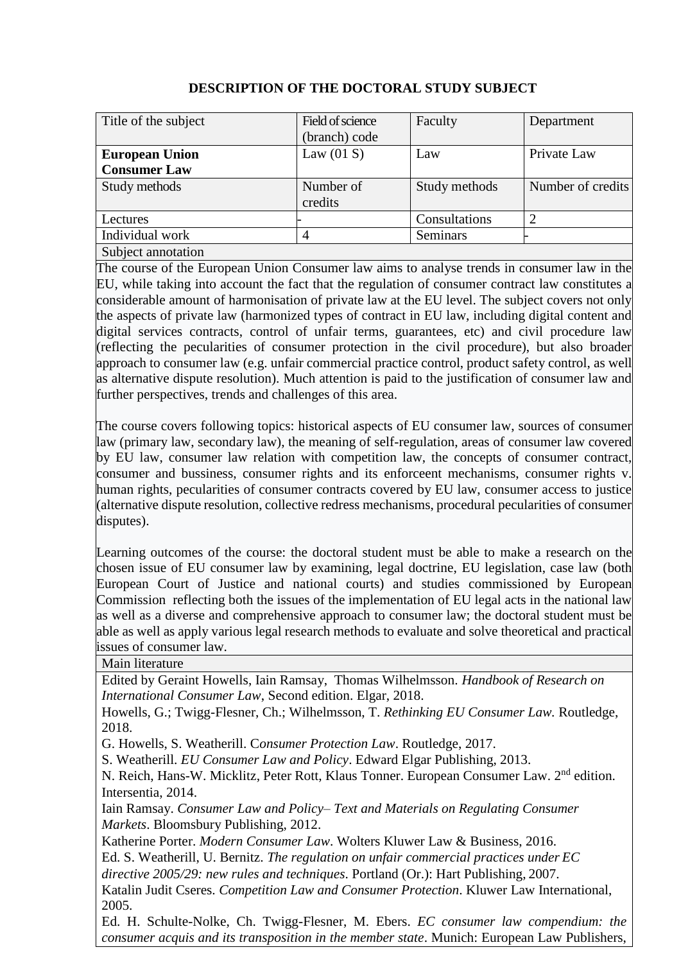| Title of the subject  | Field of science | Faculty       | Department        |
|-----------------------|------------------|---------------|-------------------|
|                       | (branch) code    |               |                   |
| <b>European Union</b> | Law $(01 S)$     | Law           | Private Law       |
| <b>Consumer Law</b>   |                  |               |                   |
| Study methods         | Number of        | Study methods | Number of credits |
|                       | credits          |               |                   |
| Lectures              |                  | Consultations | 2                 |
| Individual work       | $\overline{4}$   | Seminars      |                   |
| Subject annotation    |                  |               |                   |

## **DESCRIPTION OF THE DOCTORAL STUDY SUBJECT**

The course of the European Union Consumer law aims to analyse trends in consumer law in the EU, while taking into account the fact that the regulation of consumer contract law constitutes a considerable amount of harmonisation of private law at the EU level. The subject covers not only the aspects of private law (harmonized types of contract in EU law, including digital content and digital services contracts, control of unfair terms, guarantees, etc) and civil procedure law (reflecting the pecularities of consumer protection in the civil procedure), but also broader approach to consumer law (e.g. unfair commercial practice control, product safety control, as well as alternative dispute resolution). Much attention is paid to the justification of consumer law and further perspectives, trends and challenges of this area.

The course covers following topics: historical aspects of EU consumer law, sources of consumer law (primary law, secondary law), the meaning of self-regulation, areas of consumer law covered by EU law, consumer law relation with competition law, the concepts of consumer contract, consumer and bussiness, consumer rights and its enforceent mechanisms, consumer rights v. human rights, pecularities of consumer contracts covered by EU law, consumer access to justice (alternative dispute resolution, collective redress mechanisms, procedural pecularities of consumer disputes).

Learning outcomes of the course: the doctoral student must be able to make a research on the chosen issue of EU consumer law by examining, legal doctrine, EU legislation, case law (both European Court of Justice and national courts) and studies commissioned by European Commission reflecting both the issues of the implementation of EU legal acts in the national law as well as a diverse and comprehensive approach to consumer law; the doctoral student must be able as well as apply various legal research methods to evaluate and solve theoretical and practical issues of consumer law.

Main literature

Edited by Geraint Howells, Iain Ramsay, Thomas Wilhelmsson. *Handbook of Research on International Consumer Law*, Second edition. Elgar, 2018.

Howells, G.; Twigg-Flesner, Ch.; Wilhelmsson, T. *Rethinking EU Consumer Law.* Routledge, 2018.

G. Howells, S. Weatherill. C*onsumer Protection Law*. Routledge, 2017.

S. Weatherill. *EU Consumer Law and Policy*. Edward Elgar Publishing, 2013.

N. Reich, Hans-W. Micklitz, Peter Rott, Klaus Tonner. European Consumer Law. 2<sup>nd</sup> edition. Intersentia, 2014.

Iain Ramsay. *Consumer Law and Policy– Text and Materials on Regulating Consumer Markets*. Bloomsbury Publishing, 2012.

Katherine Porter. *Modern Consumer Law*. Wolters Kluwer Law & Business, 2016.

Ed. S. Weatherill, U. Bernitz. *The regulation on unfair commercial practices under EC* 

*directive 2005/29: new rules and techniques*. Portland (Or.): Hart Publishing, 2007.

Katalin Judit Cseres. *Competition Law and Consumer Protection*. Kluwer Law International, 2005.

Ed. H. Schulte-Nolke, Ch. Twigg-Flesner, M. Ebers. *EC consumer law compendium: the consumer acquis and its transposition in the member state*. Munich: European Law Publishers,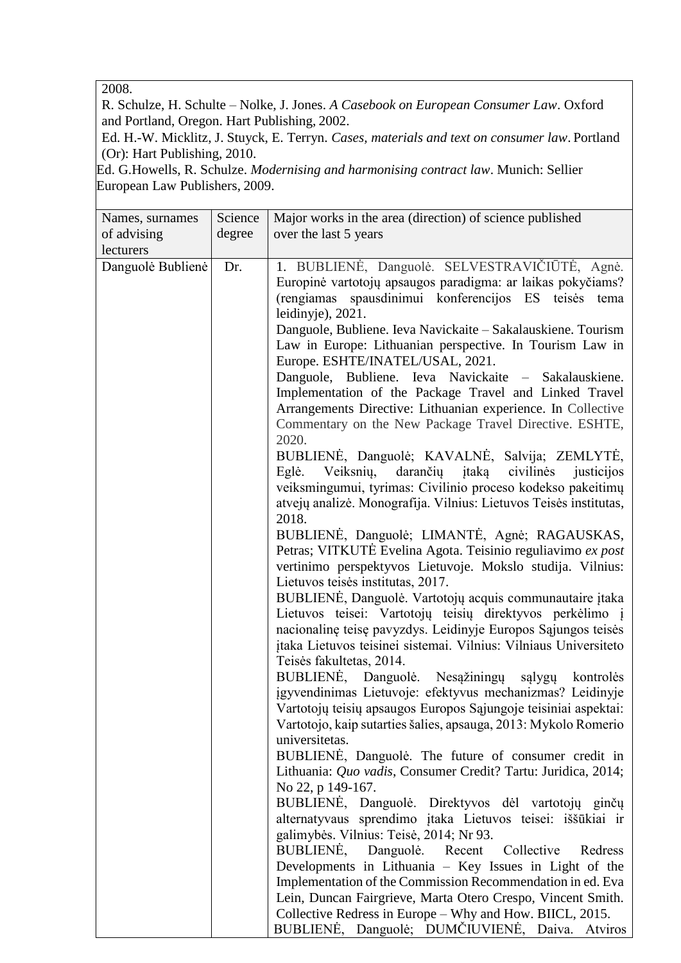2008.

R. Schulze, H. Schulte – Nolke, J. Jones. *A Casebook on European Consumer Law*. Oxford and Portland, Oregon. Hart Publishing, 2002.

Ed. H.-W. Micklitz, J. Stuyck, E. Terryn. *Cases, materials and text on consumer law*. Portland (Or): Hart Publishing, 2010.

Ed. G.Howells, R. Schulze. *Modernising and harmonising contract law*. Munich: Sellier European Law Publishers, 2009.

| Names, surnames   | Science | Major works in the area (direction) of science published                                                                                                                                                                                                                                                                                                                                                                                                                                                                                                                                                                                                                                                                                                                                                                                                                                                                                                                                                                                                                                                                                                                                                                                                                                                                                                                                                                                                                                                                                                                                                                                                                                                                                                                                                                                                                                                                                                                                                                                                                                                                                                                                                                                                                                                                             |  |
|-------------------|---------|--------------------------------------------------------------------------------------------------------------------------------------------------------------------------------------------------------------------------------------------------------------------------------------------------------------------------------------------------------------------------------------------------------------------------------------------------------------------------------------------------------------------------------------------------------------------------------------------------------------------------------------------------------------------------------------------------------------------------------------------------------------------------------------------------------------------------------------------------------------------------------------------------------------------------------------------------------------------------------------------------------------------------------------------------------------------------------------------------------------------------------------------------------------------------------------------------------------------------------------------------------------------------------------------------------------------------------------------------------------------------------------------------------------------------------------------------------------------------------------------------------------------------------------------------------------------------------------------------------------------------------------------------------------------------------------------------------------------------------------------------------------------------------------------------------------------------------------------------------------------------------------------------------------------------------------------------------------------------------------------------------------------------------------------------------------------------------------------------------------------------------------------------------------------------------------------------------------------------------------------------------------------------------------------------------------------------------------|--|
| of advising       | degree  | over the last 5 years                                                                                                                                                                                                                                                                                                                                                                                                                                                                                                                                                                                                                                                                                                                                                                                                                                                                                                                                                                                                                                                                                                                                                                                                                                                                                                                                                                                                                                                                                                                                                                                                                                                                                                                                                                                                                                                                                                                                                                                                                                                                                                                                                                                                                                                                                                                |  |
| lecturers         |         |                                                                                                                                                                                                                                                                                                                                                                                                                                                                                                                                                                                                                                                                                                                                                                                                                                                                                                                                                                                                                                                                                                                                                                                                                                                                                                                                                                                                                                                                                                                                                                                                                                                                                                                                                                                                                                                                                                                                                                                                                                                                                                                                                                                                                                                                                                                                      |  |
| Danguolė Bublienė | Dr.     | 1. BUBLIENĖ, Danguolė. SELVESTRAVIČIŪTĖ, Agnė.<br>Europinė vartotojų apsaugos paradigma: ar laikas pokyčiams?<br>(rengiamas spausdinimui konferencijos ES teisės tema<br>leidinyje), 2021.<br>Danguole, Bubliene. Ieva Navickaite - Sakalauskiene. Tourism<br>Law in Europe: Lithuanian perspective. In Tourism Law in<br>Europe. ESHTE/INATEL/USAL, 2021.<br>Danguole, Bubliene. Ieva Navickaite – Sakalauskiene.<br>Implementation of the Package Travel and Linked Travel<br>Arrangements Directive: Lithuanian experience. In Collective<br>Commentary on the New Package Travel Directive. ESHTE,<br>2020.<br>BUBLIENĖ, Danguolė; KAVALNĖ, Salvija; ZEMLYTĖ,<br>Veiksnių, darančių įtaką civilinės justicijos<br>Eglė.<br>veiksmingumui, tyrimas: Civilinio proceso kodekso pakeitimų<br>atvejų analizė. Monografija. Vilnius: Lietuvos Teisės institutas,<br>2018.<br>BUBLIENĖ, Danguolė; LIMANTĖ, Agnė; RAGAUSKAS,<br>Petras; VITKUTĖ Evelina Agota. Teisinio reguliavimo ex post<br>vertinimo perspektyvos Lietuvoje. Mokslo studija. Vilnius:<br>Lietuvos teisės institutas, 2017.<br>BUBLIENĖ, Danguolė. Vartotojų acquis communautaire įtaka<br>Lietuvos teisei: Vartotojų teisių direktyvos perkėlimo į<br>nacionalinę teisę pavyzdys. Leidinyje Europos Sąjungos teisės<br>įtaka Lietuvos teisinei sistemai. Vilnius: Vilniaus Universiteto<br>Teisės fakultetas, 2014.<br>BUBLIENĖ, Danguolė. Nesąžiningų sąlygų kontrolės<br>įgyvendinimas Lietuvoje: efektyvus mechanizmas? Leidinyje<br>Vartotojų teisių apsaugos Europos Sąjungoje teisiniai aspektai:<br>Vartotojo, kaip sutarties šalies, apsauga, 2013: Mykolo Romerio<br>universitetas.<br>BUBLIENE, Danguolė. The future of consumer credit in<br>Lithuania: Quo vadis, Consumer Credit? Tartu: Juridica, 2014;<br>No 22, p 149-167.<br>BUBLIENĖ, Danguolė. Direktyvos dėl vartotojų ginčų<br>alternatyvaus sprendimo įtaka Lietuvos teisei: iššūkiai ir<br>galimybės. Vilnius: Teisė, 2014; Nr 93.<br>BUBLIENE, Danguolė. Recent Collective<br>Redress<br>Developments in Lithuania – Key Issues in Light of the<br>Implementation of the Commission Recommendation in ed. Eva<br>Lein, Duncan Fairgrieve, Marta Otero Crespo, Vincent Smith.<br>Collective Redress in Europe – Why and How. BIICL, 2015.<br>BUBLIENĖ, Danguolė; DUMČIUVIENĖ, Daiva. Atviros |  |